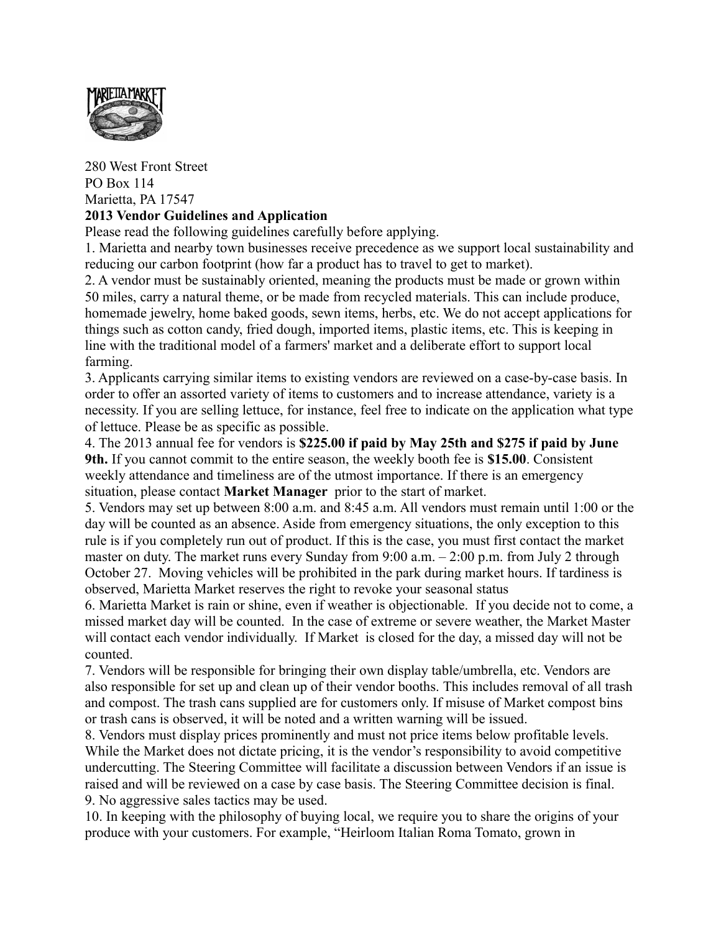

## 280 West Front Street PO Box 114 Marietta, PA 17547 **2013 Vendor Guidelines and Application**

Please read the following guidelines carefully before applying.

1. Marietta and nearby town businesses receive precedence as we support local sustainability and reducing our carbon footprint (how far a product has to travel to get to market).

2. A vendor must be sustainably oriented, meaning the products must be made or grown within 50 miles, carry a natural theme, or be made from recycled materials. This can include produce, homemade jewelry, home baked goods, sewn items, herbs, etc. We do not accept applications for things such as cotton candy, fried dough, imported items, plastic items, etc. This is keeping in line with the traditional model of a farmers' market and a deliberate effort to support local farming.

3. Applicants carrying similar items to existing vendors are reviewed on a case-by-case basis. In order to offer an assorted variety of items to customers and to increase attendance, variety is a necessity. If you are selling lettuce, for instance, feel free to indicate on the application what type of lettuce. Please be as specific as possible.

4. The 2013 annual fee for vendors is **\$225.00 if paid by May 25th and \$275 if paid by June 9th.** If you cannot commit to the entire season, the weekly booth fee is **\$15.00**. Consistent weekly attendance and timeliness are of the utmost importance. If there is an emergency situation, please contact **Market Manager** prior to the start of market.

5. Vendors may set up between 8:00 a.m. and 8:45 a.m. All vendors must remain until 1:00 or the day will be counted as an absence. Aside from emergency situations, the only exception to this rule is if you completely run out of product. If this is the case, you must first contact the market master on duty. The market runs every Sunday from 9:00 a.m. - 2:00 p.m. from July 2 through October 27. Moving vehicles will be prohibited in the park during market hours. If tardiness is observed, Marietta Market reserves the right to revoke your seasonal status

6. Marietta Market is rain or shine, even if weather is objectionable. If you decide not to come, a missed market day will be counted. In the case of extreme or severe weather, the Market Master will contact each vendor individually. If Market is closed for the day, a missed day will not be counted.

7. Vendors will be responsible for bringing their own display table/umbrella, etc. Vendors are also responsible for set up and clean up of their vendor booths. This includes removal of all trash and compost. The trash cans supplied are for customers only. If misuse of Market compost bins or trash cans is observed, it will be noted and a written warning will be issued.

8. Vendors must display prices prominently and must not price items below profitable levels. While the Market does not dictate pricing, it is the vendor's responsibility to avoid competitive undercutting. The Steering Committee will facilitate a discussion between Vendors if an issue is raised and will be reviewed on a case by case basis. The Steering Committee decision is final. 9. No aggressive sales tactics may be used.

10. In keeping with the philosophy of buying local, we require you to share the origins of your produce with your customers. For example, "Heirloom Italian Roma Tomato, grown in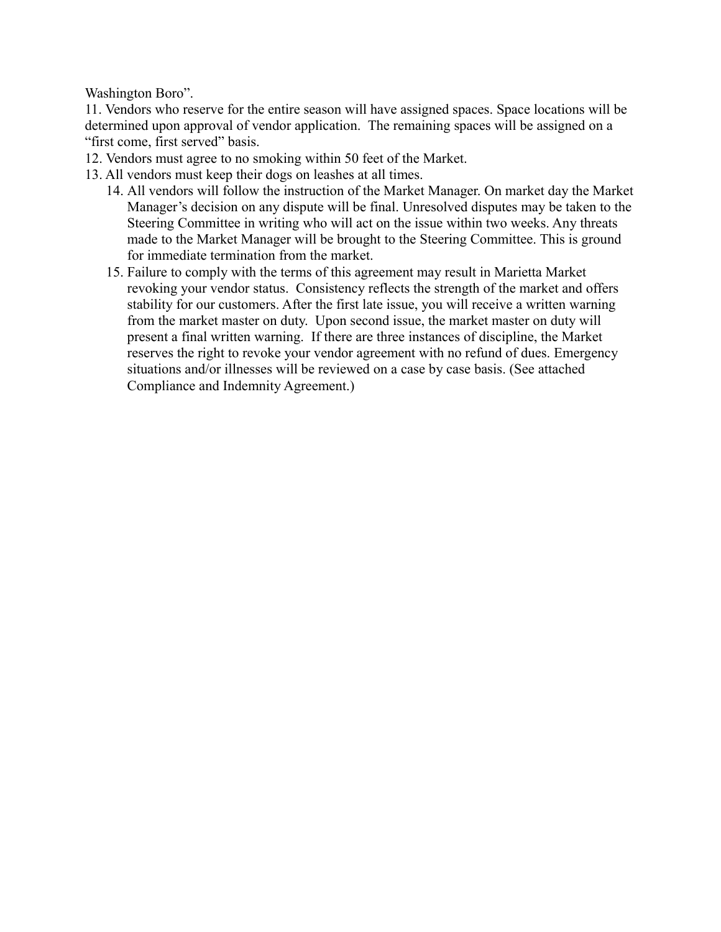Washington Boro".

11. Vendors who reserve for the entire season will have assigned spaces. Space locations will be determined upon approval of vendor application. The remaining spaces will be assigned on a "first come, first served" basis.

- 12. Vendors must agree to no smoking within 50 feet of the Market.
- 13. All vendors must keep their dogs on leashes at all times.
	- 14. All vendors will follow the instruction of the Market Manager. On market day the Market Manager's decision on any dispute will be final. Unresolved disputes may be taken to the Steering Committee in writing who will act on the issue within two weeks. Any threats made to the Market Manager will be brought to the Steering Committee. This is ground for immediate termination from the market.
	- 15. Failure to comply with the terms of this agreement may result in Marietta Market revoking your vendor status. Consistency reflects the strength of the market and offers stability for our customers. After the first late issue, you will receive a written warning from the market master on duty. Upon second issue, the market master on duty will present a final written warning. If there are three instances of discipline, the Market reserves the right to revoke your vendor agreement with no refund of dues. Emergency situations and/or illnesses will be reviewed on a case by case basis. (See attached Compliance and Indemnity Agreement.)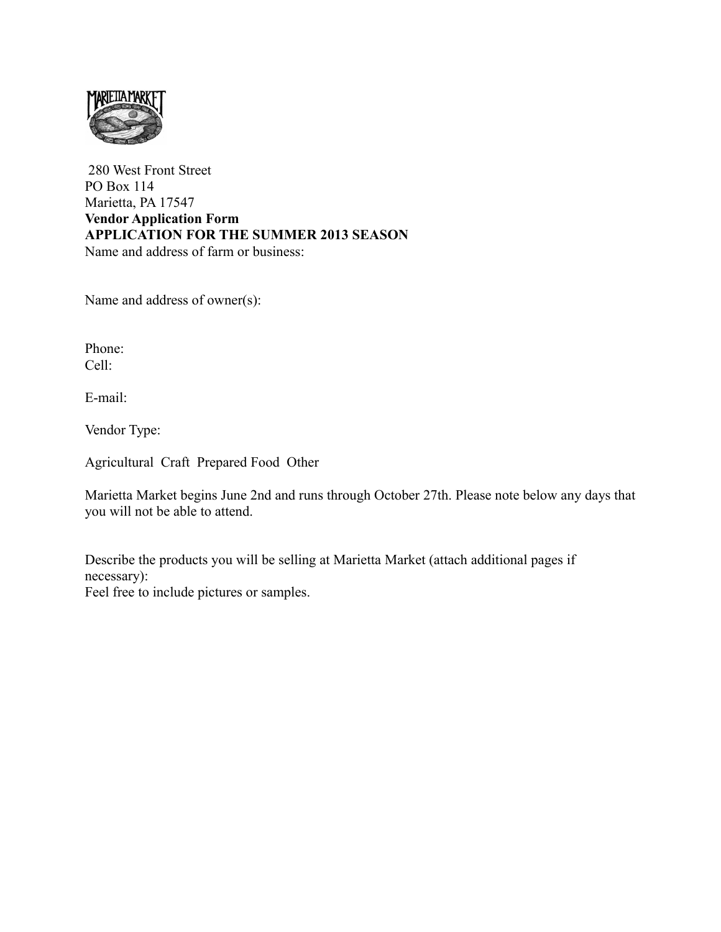

 280 West Front Street PO Box 114 Marietta, PA 17547 **Vendor Application Form APPLICATION FOR THE SUMMER 2013 SEASON** Name and address of farm or business:

Name and address of owner(s):

Phone: Cell:

E-mail:

Vendor Type:

Agricultural Craft Prepared Food Other

Marietta Market begins June 2nd and runs through October 27th. Please note below any days that you will not be able to attend.

Describe the products you will be selling at Marietta Market (attach additional pages if necessary):

Feel free to include pictures or samples.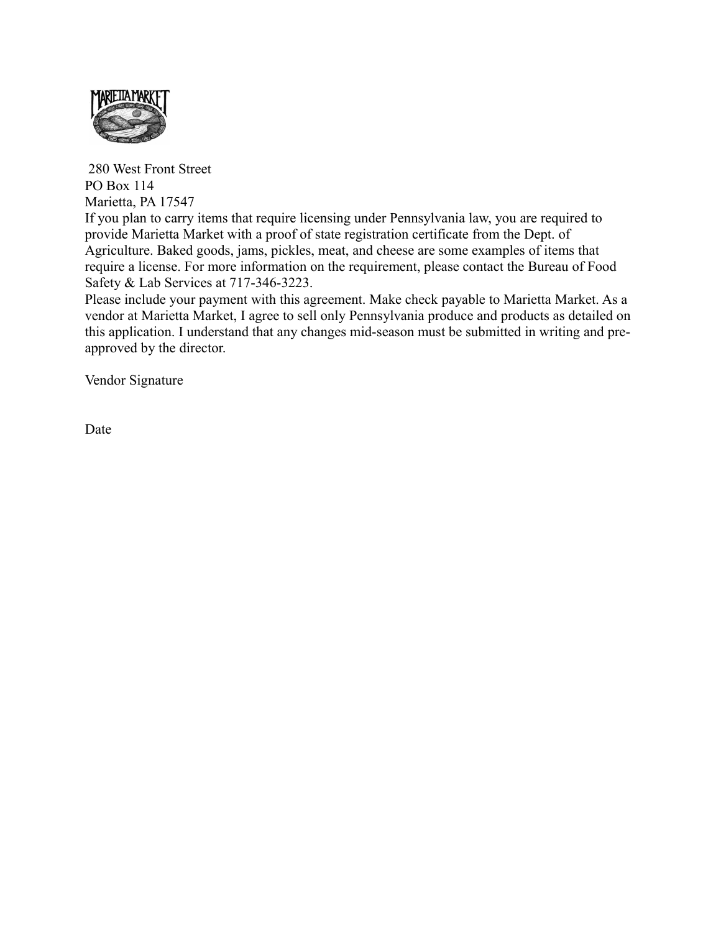

 280 West Front Street PO Box 114 Marietta, PA 17547

If you plan to carry items that require licensing under Pennsylvania law, you are required to provide Marietta Market with a proof of state registration certificate from the Dept. of Agriculture. Baked goods, jams, pickles, meat, and cheese are some examples of items that require a license. For more information on the requirement, please contact the Bureau of Food Safety & Lab Services at 717-346-3223.

Please include your payment with this agreement. Make check payable to Marietta Market. As a vendor at Marietta Market, I agree to sell only Pennsylvania produce and products as detailed on this application. I understand that any changes mid-season must be submitted in writing and preapproved by the director.

Vendor Signature

Date